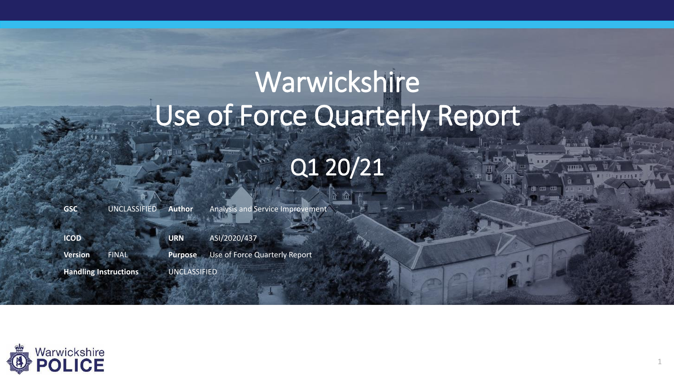# Warwickshire Use of Force Quarterly Report Q1 20/21

**GSC** UNCLASSIFIED **Author** Analysis and Service Improvement **ICOD URN** ASI/2020/437 **Version** FINAL **Purpose** Use of Force Quarterly Report **Handling Instructions** UNCLASSIFIED

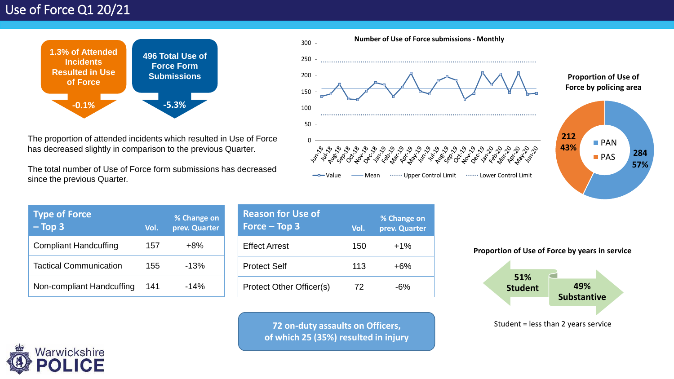

The proportion of attended incidents which resulted in Use of Force has decreased slightly in comparison to the previous Quarter.

The total number of Use of Force form submissions has decreased since the previous Quarter.



**Proportion of Use of Force by policing area**



| <b>Type of Force</b><br>$-$ Top 3 | Vol. | % Change on<br>prev. Quarter |
|-----------------------------------|------|------------------------------|
| <b>Compliant Handcuffing</b>      | 157  | $+8%$                        |
| <b>Tactical Communication</b>     | 155  | $-13%$                       |
| Non-compliant Handcuffing         | 141  | $-14%$                       |

**Reason for Use of Force – Top 3 Vol. % Change on prev. Quarter** Effect Arrest 150 +1% Protect Self 113 +6% Protect Other Officer(s) 72 -6%

> **72 on-duty assaults on Officers, of which 25 (35%) resulted in injury**





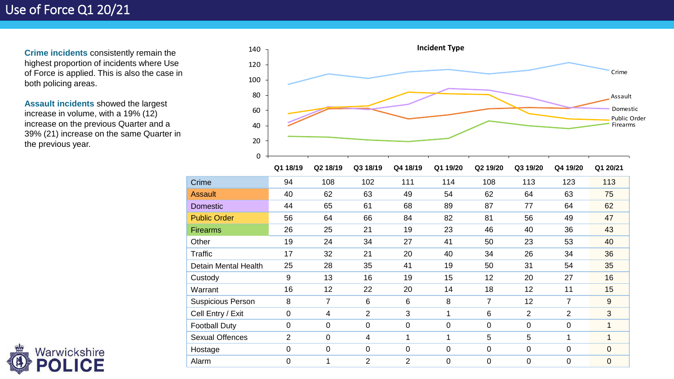**Crime incidents** consistently remain the highest proportion of incidents where Use of Force is applied. This is also the case in both policing areas.

**Assault incidents** showed the largest increase in volume, with a 19% (12) increase on the previous Quarter and a 39% (21) increase on the same Quarter in the previous year.



|                          | Q1 18/19       | Q2 18/19       | Q3 18/19       | Q4 18/19       | Q1 19/20       | Q2 19/20       | Q3 19/20       | Q4 19/20       | Q1 20/21       |
|--------------------------|----------------|----------------|----------------|----------------|----------------|----------------|----------------|----------------|----------------|
| Crime                    | 94             | 108            | 102            | 111            | 114            | 108            | 113            | 123            | 113            |
| <b>Assault</b>           | 40             | 62             | 63             | 49             | 54             | 62             | 64             | 63             | 75             |
| <b>Domestic</b>          | 44             | 65             | 61             | 68             | 89             | 87             | 77             | 64             | 62             |
| <b>Public Order</b>      | 56             | 64             | 66             | 84             | 82             | 81             | 56             | 49             | 47             |
| <b>Firearms</b>          | 26             | 25             | 21             | 19             | 23             | 46             | 40             | 36             | 43             |
| Other                    | 19             | 24             | 34             | 27             | 41             | 50             | 23             | 53             | 40             |
| Traffic                  | 17             | 32             | 21             | 20             | 40             | 34             | 26             | 34             | 36             |
| Detain Mental Health     | 25             | 28             | 35             | 41             | 19             | 50             | 31             | 54             | 35             |
| Custody                  | 9              | 13             | 16             | 19             | 15             | 12             | 20             | 27             | 16             |
| Warrant                  | 16             | 12             | 22             | 20             | 14             | 18             | 12             | 11             | 15             |
| <b>Suspicious Person</b> | 8              | 7              | 6              | 6              | 8              | 7              | 12             | $\overline{7}$ | 9              |
| Cell Entry / Exit        | 0              | 4              | $\overline{2}$ | 3              | 1              | 6              | $\overline{2}$ | 2              | 3              |
| <b>Football Duty</b>     | 0              | 0              | $\mathbf 0$    | $\mathbf 0$    | $\mathbf 0$    | $\mathbf 0$    | 0              | $\mathbf 0$    |                |
| <b>Sexual Offences</b>   | $\overline{2}$ | $\overline{0}$ | 4              | 1              | $\mathbf{1}$   | 5              | 5              | 1              | 1              |
| Hostage                  | 0              | $\overline{0}$ | $\mathbf 0$    | $\mathbf 0$    | $\mathbf 0$    | $\mathbf 0$    | 0              | $\overline{0}$ | $\overline{0}$ |
| Alarm                    | 0              | 1              | $\overline{2}$ | $\overline{2}$ | $\overline{0}$ | $\overline{0}$ | 0              | $\overline{0}$ | $\overline{0}$ |

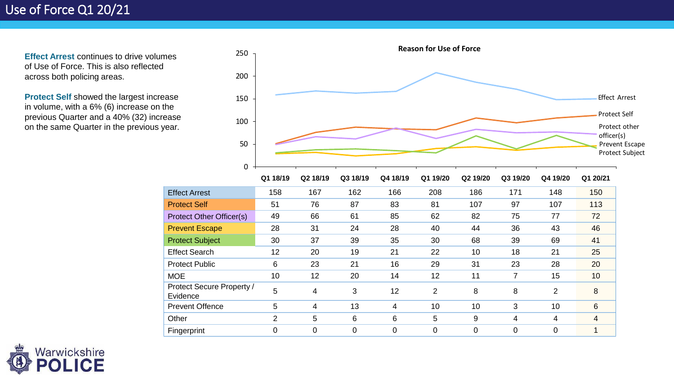**Effect Arrest continues to drive volumes** of Use of Force. This is also reflected across both policing areas.

**Protect Self** showed the largest increase in volume, with a 6% (6) increase on the previous Quarter and a 40% (32) increase on the same Quarter in the previous year.



|                                       | Q1 18/19       | Q2 18/19 | Q3 18/19 | Q4 18/19 | Q1 19/20 | Q2 19/20 | Q3 19/20 | Q4 19/20       | Q1 20/21 |
|---------------------------------------|----------------|----------|----------|----------|----------|----------|----------|----------------|----------|
| <b>Effect Arrest</b>                  | 158            | 167      | 162      | 166      | 208      | 186      | 171      | 148            | 150      |
| <b>Protect Self</b>                   | 51             | 76       | 87       | 83       | 81       | 107      | 97       | 107            | 113      |
| <b>Protect Other Officer(s)</b>       | 49             | 66       | 61       | 85       | 62       | 82       | 75       | 77             | 72       |
| <b>Prevent Escape</b>                 | 28             | 31       | 24       | 28       | 40       | 44       | 36       | 43             | 46       |
| <b>Protect Subject</b>                | 30             | 37       | 39       | 35       | 30       | 68       | 39       | 69             | 41       |
| <b>Effect Search</b>                  | 12             | 20       | 19       | 21       | 22       | 10       | 18       | 21             | 25       |
| <b>Protect Public</b>                 | 6              | 23       | 21       | 16       | 29       | 31       | 23       | 28             | 20       |
| <b>MOE</b>                            | 10             | 12       | 20       | 14       | 12       | 11       | 7        | 15             | 10       |
| Protect Secure Property /<br>Evidence | 5              | 4        | 3        | 12       | 2        | 8        | 8        | 2              | 8        |
| <b>Prevent Offence</b>                | 5              | 4        | 13       | 4        | 10       | 10       | 3        | 10             | 6        |
| Other                                 | $\overline{2}$ | 5        | 6        | 6        | 5        | 9        | 4        | 4              | 4        |
| Fingerprint                           | 0              | 0        | 0        | 0        | 0        | 0        | 0        | $\overline{0}$ |          |
|                                       |                |          |          |          |          |          |          |                |          |

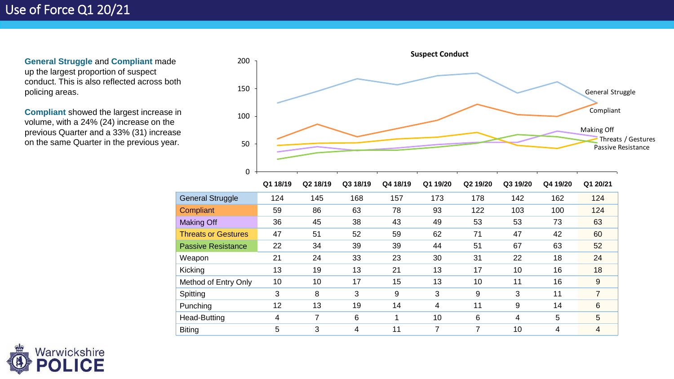**General Struggle** and **Compliant** made up the largest proportion of suspect conduct. This is also reflected across both policing areas.

**Compliant** showed the largest increase in volume, with a 24% (24) increase on the previous Quarter and a 33% (31) increase on the same Quarter in the previous year.



|                            | Q1 18/19 | Q2 18/19 | Q3 18/19 | Q4 18/19 | Q1 19/20 | Q2 19/20 | Q3 19/20 | Q4 19/20 | Q1 20/21 |
|----------------------------|----------|----------|----------|----------|----------|----------|----------|----------|----------|
| <b>General Struggle</b>    | 124      | 145      | 168      | 157      | 173      | 178      | 142      | 162      | 124      |
| Compliant                  | 59       | 86       | 63       | 78       | 93       | 122      | 103      | 100      | 124      |
| <b>Making Off</b>          | 36       | 45       | 38       | 43       | 49       | 53       | 53       | 73       | 63       |
| <b>Threats or Gestures</b> | 47       | 51       | 52       | 59       | 62       | 71       | 47       | 42       | 60       |
| <b>Passive Resistance</b>  | 22       | 34       | 39       | 39       | 44       | 51       | 67       | 63       | 52       |
| Weapon                     | 21       | 24       | 33       | 23       | 30       | 31       | 22       | 18       | 24       |
| Kicking                    | 13       | 19       | 13       | 21       | 13       | 17       | 10       | 16       | 18       |
| Method of Entry Only       | 10       | 10       | 17       | 15       | 13       | 10       | 11       | 16       | 9        |
| Spitting                   | 3        | 8        | 3        | 9        | 3        | 9        | 3        | 11       | 7        |
| Punching                   | 12       | 13       | 19       | 14       | 4        | 11       | 9        | 14       | 6        |
| Head-Butting               | 4        | 7        | 6        |          | 10       | 6        | 4        | 5        | 5        |
| <b>Biting</b>              | 5        | 3        | 4        | 11       | 7        | 7        | 10       | 4        | 4        |

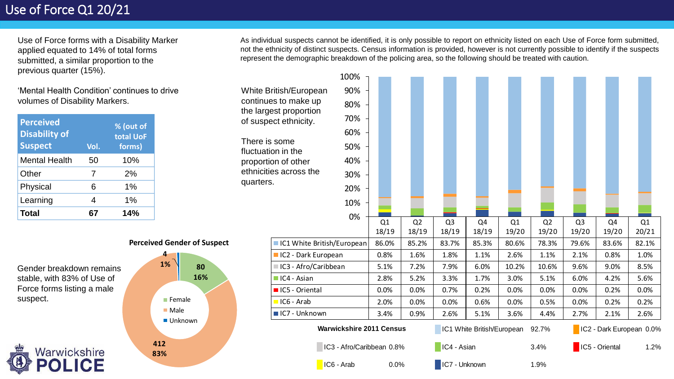Use of Force forms with a Disability Marker applied equated to 14% of total forms submitted, a similar proportion to the previous quarter (15%).

'Mental Health Condition' continues to drive volumes of Disability Markers.

| <b>Perceived</b><br><b>Disability of</b><br><b>Suspect</b> | Vol. | % (out of<br>total UoF<br>forms) |
|------------------------------------------------------------|------|----------------------------------|
| <b>Mental Health</b>                                       | 50   | 10%                              |
| Other                                                      | 7    | 2%                               |
| Physical                                                   | 6    | 1%                               |
| Learning                                                   | 4    | 1%                               |
| Total                                                      | 67   | 14%                              |

As individual suspects cannot be identified, it is only possible to report on ethnicity listed on each Use of Force form submitted, not the ethnicity of distinct suspects. Census information is provided, however is not currently possible to identify if the suspects represent the demographic breakdown of the policing area, so the following should be treated with caution.



**Perceived Gender of Suspect**

**Female** ■ Male ■ Unknown

**4 1%**

**412 83%**

**80 16%** quarters.

Gender breakdown remains stable, with 83% of Use of Force forms listing a male suspect.

Warwickshire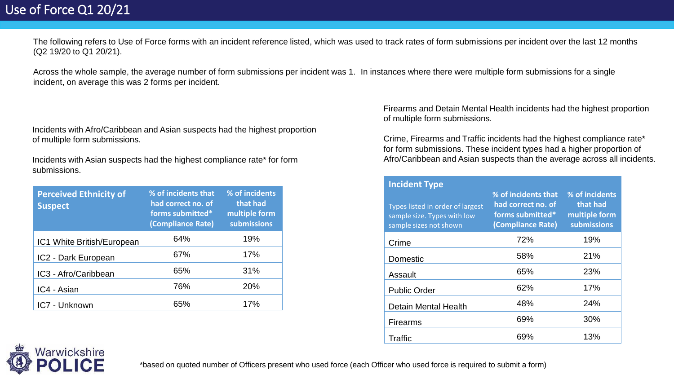The following refers to Use of Force forms with an incident reference listed, which was used to track rates of form submissions per incident over the last 12 months (Q2 19/20 to Q1 20/21).

Across the whole sample, the average number of form submissions per incident was 1. In instances where there were multiple form submissions for a single incident, on average this was 2 forms per incident.

Incidents with Afro/Caribbean and Asian suspects had the highest proportion of multiple form submissions.

Incidents with Asian suspects had the highest compliance rate\* for form submissions.

| <b>Perceived Ethnicity of</b><br><b>Suspect</b> | % of incidents that<br>had correct no. of<br>forms submitted*<br>(Compliance Rate) | % of incidents<br>that had<br>multiple form<br>submissions |
|-------------------------------------------------|------------------------------------------------------------------------------------|------------------------------------------------------------|
| IC1 White British/European                      | 64%                                                                                | 19%                                                        |
| IC2 - Dark European                             | 67%                                                                                | 17%                                                        |
| IC3 - Afro/Caribbean                            | 65%                                                                                | 31%                                                        |
| IC4 - Asian                                     | 76%                                                                                | 20%                                                        |
| IC7 - Unknown                                   | 65%                                                                                | 17%                                                        |

Firearms and Detain Mental Health incidents had the highest proportion of multiple form submissions.

Crime, Firearms and Traffic incidents had the highest compliance rate\* for form submissions. These incident types had a higher proportion of Afro/Caribbean and Asian suspects than the average across all incidents.

| <b>Incident Type</b>                                                                      |                                                                                    |                                                            |
|-------------------------------------------------------------------------------------------|------------------------------------------------------------------------------------|------------------------------------------------------------|
| Types listed in order of largest<br>sample size. Types with low<br>sample sizes not shown | % of incidents that<br>had correct no. of<br>forms submitted*<br>(Compliance Rate) | % of incidents<br>that had<br>multiple form<br>submissions |
| Crime                                                                                     | 72%                                                                                | 19%                                                        |
| Domestic                                                                                  | 58%                                                                                | 21%                                                        |
| Assault                                                                                   | 65%                                                                                | 23%                                                        |
| <b>Public Order</b>                                                                       | 62%                                                                                | 17%                                                        |
| <b>Detain Mental Health</b>                                                               | 48%                                                                                | 24%                                                        |
| <b>Firearms</b>                                                                           | 69%                                                                                | 30%                                                        |
| Traffic                                                                                   | 69%                                                                                | 13%                                                        |



\*based on quoted number of Officers present who used force (each Officer who used force is required to submit a form)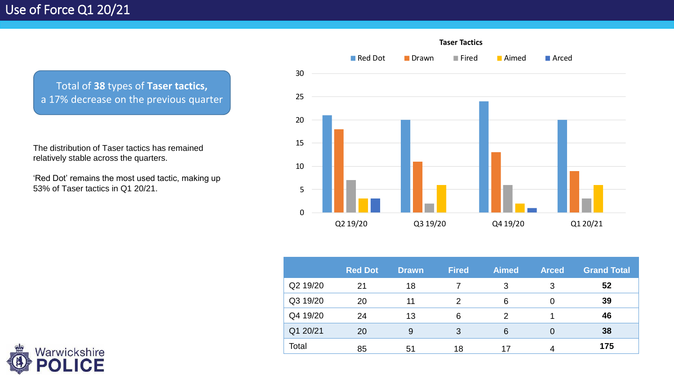Total of **38** types of **Taser tactics,**  a 17% decrease on the previous quarter

The distribution of Taser tactics has remained relatively stable across the quarters.

'Red Dot' remains the most used tactic, making up 53% of Taser tactics in Q1 20/21.



|          | <b>Red Dot</b> | <b>Drawn</b> | <b>Fired</b>  | <b>Aimed</b> | <b>Arced</b>   | <b>Grand Total</b> |
|----------|----------------|--------------|---------------|--------------|----------------|--------------------|
| Q2 19/20 | 21             | 18           |               | 3            | 3              | 52                 |
| Q3 19/20 | 20             | 11           | $\mathcal{D}$ | 6            | 0              | 39                 |
| Q4 19/20 | 24             | 13           | 6             | 2            |                | 46                 |
| Q1 20/21 | 20             | 9            | 3             | 6            | $\overline{0}$ | 38                 |
| Total    | 85             | 51           | 18            | 17           | 4              | 175                |